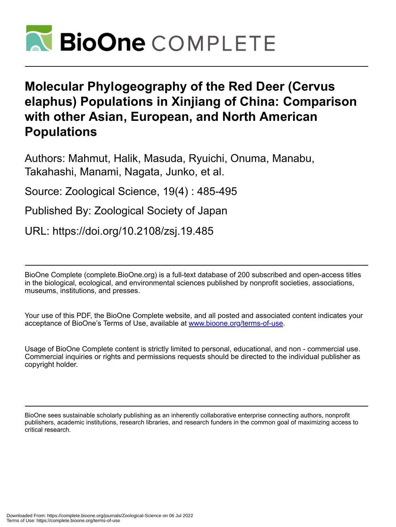

# **Molecular Phylogeography of the Red Deer (Cervus elaphus) Populations in Xinjiang of China: Comparison with other Asian, European, and North American Populations**

Authors: Mahmut, Halik, Masuda, Ryuichi, Onuma, Manabu, Takahashi, Manami, Nagata, Junko, et al.

Source: Zoological Science, 19(4) : 485-495

Published By: Zoological Society of Japan

URL: https://doi.org/10.2108/zsj.19.485

BioOne Complete (complete.BioOne.org) is a full-text database of 200 subscribed and open-access titles in the biological, ecological, and environmental sciences published by nonprofit societies, associations, museums, institutions, and presses.

Your use of this PDF, the BioOne Complete website, and all posted and associated content indicates your acceptance of BioOne's Terms of Use, available at www.bioone.org/terms-of-use.

Usage of BioOne Complete content is strictly limited to personal, educational, and non - commercial use. Commercial inquiries or rights and permissions requests should be directed to the individual publisher as copyright holder.

BioOne sees sustainable scholarly publishing as an inherently collaborative enterprise connecting authors, nonprofit publishers, academic institutions, research libraries, and research funders in the common goal of maximizing access to critical research.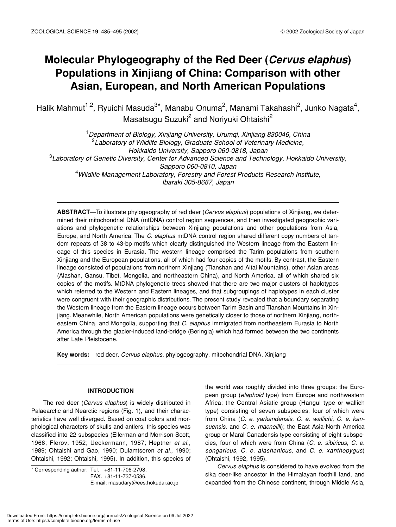# **Molecular Phylogeography of the Red Deer (***Cervus elaphus***) Populations in Xinjiang of China: Comparison with other Asian, European, and North American Populations**

Halik Mahmut<sup>1,2</sup>, Ryuichi Masuda<sup>3\*</sup>, Manabu Onuma<sup>2</sup>, Manami Takahashi<sup>2</sup>, Junko Nagata<sup>4</sup>, Masatsugu Suzuki<sup>2</sup> and Noriyuki Ohtaishi<sup>2</sup>

1 *Department of Biology, Xinjiang University, Urumqi, Xinjiang 830046, China* 2 *Laboratory of Wildlife Biology, Graduate School of Veterinary Medicine, Hokkaido University, Sapporo 060-0818, Japan* 3 *Laboratory of Genetic Diversity, Center for Advanced Science and Technology, Hokkaido University, Sapporo 060-0810, Japan* 4 *Wildlife Management Laboratory, Forestry and Forest Products Research Institute, Ibaraki 305-8687, Japan*

**ABSTRACT**—To illustrate phylogeography of red deer (*Cervus elaphus*) populations of Xinjiang, we determined their mitochondrial DNA (mtDNA) control region sequences, and then investigated geographic variations and phylogenetic relationships between Xinjiang populations and other populations from Asia, Europe, and North America. The *C. elaphus* mtDNA control region shared different copy numbers of tandem repeats of 38 to 43-bp motifs which clearly distinguished the Western lineage from the Eastern lineage of this species in Eurasia. The western lineage comprised the Tarim populations from southern Xinjiang and the European populations, all of which had four copies of the motifs. By contrast, the Eastern lineage consisted of populations from northern Xinjiang (Tianshan and Altai Mountains), other Asian areas (Alashan, Gansu, Tibet, Mongolia, and northeastern China), and North America, all of which shared six copies of the motifs. MtDNA phylogenetic trees showed that there are two major clusters of haplotypes which referred to the Western and Eastern lineages, and that subgroupings of haplotypes in each cluster were congruent with their geographic distributions. The present study revealed that a boundary separating the Western lineage from the Eastern lineage occurs between Tarim Basin and Tianshan Mountains in Xinjiang. Meanwhile, North American populations were genetically closer to those of northern Xinjiang, northeastern China, and Mongolia, supporting that *C. elaphus* immigrated from northeastern Eurasia to North America through the glacier-induced land-bridge (Beringia) which had formed between the two continents after Late Pleistocene.

**Key words:** red deer, *Cervus elaphus*, phylogeography, mitochondrial DNA, Xinjiang

#### **INTRODUCTION**

The red deer (*Cervus elaphus*) is widely distributed in Palaearctic and Nearctic regions (Fig. 1), and their characteristics have well diverged. Based on coat colors and morphological characters of skulls and antlers, this species was classified into 22 subspecies (Ellerman and Morrison-Scott, 1966; Flerov, 1952; Ueckermann, 1987; Heptner *et al*., 1989; Ohtaishi and Gao, 1990; Dulamtseren *et al*., 1990; Ohtaishi, 1992; Ohtaishi, 1995). In addition, this species of

\* Corresponding author: Tel. +81-11-706-2798; FAX. +81-11-737-0536. E-mail: masudary@ees.hokudai.ac.jp the world was roughly divided into three groups: the European group (*elaphoid* type) from Europe and northwestern Africa; the Central Asiatic group (Hangul type or wallich type) consisting of seven subspecies, four of which were from China (*C. e. yarkandensis*, *C. e. wallichi*, *C. e. kansuensis*, and *C. e. macneilli*); the East Asia-North America group or Maral-Canadensis type consisting of eight subspecies, four of which were from China (*C. e. sibiricus*, *C. e. songaricus*, *C. e. alashanicus*, and *C. e. xanthopygus*) (Ohtaishi, 1992, 1995).

*Cervus elaphus* is considered to have evolved from the sika deer-like ancestor in the Himalayan foothill land, and expanded from the Chinese continent, through Middle Asia,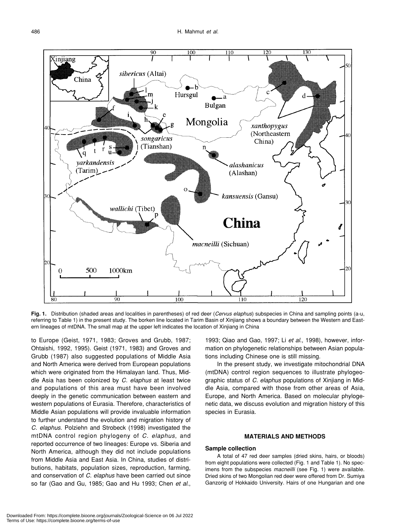

**Fig. 1.** Distribution (shaded areas and localities in parentheses) of red deer (*Cervus elaphus*) subspecies in China and sampling points (a-u, referring to Table 1) in the present study. The borken line located in Tarim Basin of Xinjiang shows a boundary between the Western and Eastern lineages of mtDNA. The small map at the upper left indicates the location of Xinjiang in China

to Europe (Geist, 1971, 1983; Groves and Grubb, 1987; Ohtaishi, 1992, 1995). Geist (1971, 1983) and Groves and Grubb (1987) also suggested populations of Middle Asia and North America were derived from European populations which were originated from the Himalayan land. Thus, Middle Asia has been colonized by *C. elaphus* at least twice and populations of this area must have been involved deeply in the genetic communication between eastern and western populations of Eurasia. Therefore, characteristics of Middle Asian populations will provide invaluable information to further understand the evolution and migration history of *C. elaphus*. Polziehn and Strobeck (1998) investigated the mtDNA control region phylogeny of *C. elaphus*, and reported occurrence of two lineages: Europe vs. Siberia and North America, although they did not include populations from Middle Asia and East Asia. In China, studies of distributions, habitats, population sizes, reproduction, farming, and conservation of *C. elaphus* have been carried out since so far (Gao and Gu, 1985; Gao and Hu 1993; Chen *et al*.,

1993; Qiao and Gao, 1997; Li *et al*., 1998), however, information on phylogenetic relationships between Asian populations including Chinese one is still missing.

In the present study, we investigate mitochondrial DNA (mtDNA) control region sequences to illustrate phylogeographic status of *C. elaphus* populations of Xinjiang in Middle Asia, compared with those from other areas of Asia, Europe, and North America. Based on molecular phylogenetic data, we discuss evolution and migration history of this species in Eurasia.

# **MATERIALS AND METHODS**

## **Sample collection**

A total of 47 red deer samples (dried skins, hairs, or bloods) from eight populations were collected (Fig. 1 and Table 1). No specimens from the subspecies *macneilli* (see Fig. 1) were available. Dried skins of two Mongolian red deer were offered from Dr. Sumiya Ganzorig of Hokkaido University. Hairs of one Hungarian and one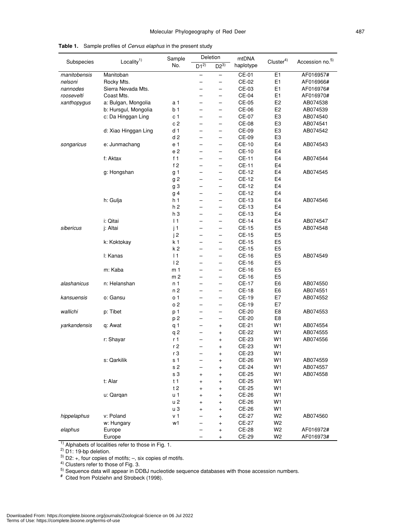|              |                       | Deletion<br>Sample |                          |                          | mtDNA        |                      |                             |
|--------------|-----------------------|--------------------|--------------------------|--------------------------|--------------|----------------------|-----------------------------|
| Subspecies   | Locality <sup>1</sup> | No.                | $\overline{D1^{2}}$      | $D2^{3)}$                | haplotype    | Cluster <sup>4</sup> | Accession no. <sup>5)</sup> |
| manitobensis | Manitoban             |                    |                          | -                        | CE-01        | E <sub>1</sub>       | AF016957#                   |
| nelsoni      | Rocky Mts.            |                    |                          | $\overline{\phantom{0}}$ | CE-02        | E <sub>1</sub>       | AF016966#                   |
| nannodes     | Sierra Nevada Mts.    |                    | -                        | $\qquad \qquad -$        | CE-03        | E <sub>1</sub>       | AF016976#                   |
| roosevelti   | Coast Mts.            |                    |                          | $\overline{\phantom{0}}$ | CE-04        | E <sub>1</sub>       | AF016970#                   |
| xanthopygus  | a: Bulgan, Mongolia   | a 1                | $\overline{\phantom{0}}$ | $\overline{\phantom{0}}$ | CE-05        | E <sub>2</sub>       | AB074538                    |
|              | b: Hursgul, Mongolia  | b 1                | —                        | $\overline{\phantom{0}}$ | CE-06        | E <sub>2</sub>       | AB074539                    |
|              | c: Da Hinggan Ling    | c <sub>1</sub>     | -                        | $\qquad \qquad -$        | CE-07        | E <sub>3</sub>       | AB074540                    |
|              |                       | c 2                |                          | -                        | CE-08        | E <sub>3</sub>       | AB074541                    |
|              | d: Xiao Hinggan Ling  | d <sub>1</sub>     |                          | $\overline{\phantom{0}}$ | CE-09        | E3                   | AB074542                    |
|              |                       | d <sub>2</sub>     | L,                       | $\overline{\phantom{0}}$ | CE-09        | E <sub>3</sub>       |                             |
| songaricus   | e: Junmachang         | e 1                | -                        | $\qquad \qquad -$        | <b>CE-10</b> | E <sub>4</sub>       | AB074543                    |
|              |                       | e 2                | -                        | $\overline{\phantom{0}}$ | CE-10        | E4                   |                             |
|              | f: Aktax              | f <sub>1</sub>     | $\overline{\phantom{0}}$ | $\overline{\phantom{0}}$ | CE-11        | E <sub>4</sub>       | AB074544                    |
|              |                       | f2                 | L,                       | $\overline{\phantom{0}}$ | CE-11        | E <sub>4</sub>       |                             |
|              | g: Hongshan           | g 1                | -                        | $\qquad \qquad -$        | CE-12        | E4                   | AB074545                    |
|              |                       | g 2                |                          | -                        | CE-12        | E4                   |                             |
|              |                       | g 3                |                          | $\overline{\phantom{0}}$ | CE-12        | E <sub>4</sub>       |                             |
|              |                       | g 4                |                          | $\overline{\phantom{0}}$ | <b>CE-12</b> | E <sub>4</sub>       |                             |
|              | h: Gulja              | h 1                | -                        | $\qquad \qquad -$        | CE-13        | E <sub>4</sub>       | AB074546                    |
|              |                       | h 2                | $\overline{\phantom{0}}$ | $\overline{\phantom{0}}$ | CE-13        | E4                   |                             |
|              |                       | h 3                | -                        | $\overline{\phantom{0}}$ | CE-13        | E <sub>4</sub>       |                             |
|              | i: Qitai              | $\vert$ 1          | L,                       | $\overline{\phantom{0}}$ | CE-14        | E4                   | AB074547                    |
| sibericus    |                       |                    |                          |                          | <b>CE-15</b> | E <sub>5</sub>       | AB074548                    |
|              | j: Altai              | j1                 | -                        | $\qquad \qquad -$        |              |                      |                             |
|              |                       | j2                 |                          | -                        | CE-15        | E <sub>5</sub>       |                             |
|              | k: Koktokay           | k <sub>1</sub>     |                          | $\overline{\phantom{0}}$ | <b>CE-15</b> | E <sub>5</sub>       |                             |
|              |                       | k 2                | L,                       | $\overline{\phantom{0}}$ | <b>CE-15</b> | E <sub>5</sub>       |                             |
|              | I: Kanas              | 1                  | -                        | $\qquad \qquad -$        | CE-16        | E <sub>5</sub>       | AB074549                    |
|              |                       | 12                 | $\overline{\phantom{0}}$ | $\overline{\phantom{0}}$ | CE-16        | E <sub>5</sub>       |                             |
|              | m: Kaba               | m <sub>1</sub>     | -                        | $\overline{\phantom{0}}$ | CE-16        | E <sub>5</sub>       |                             |
|              |                       | m <sub>2</sub>     | L,                       | $\overline{\phantom{0}}$ | CE-16        | E <sub>5</sub>       |                             |
| alashanicus  | n: Helanshan          | n 1                | -                        | $\qquad \qquad -$        | <b>CE-17</b> | E <sub>6</sub>       | AB074550                    |
|              |                       | n 2                | $\overline{\phantom{0}}$ | $\overline{\phantom{0}}$ | CE-18        | E <sub>6</sub>       | AB074551                    |
| kansuensis   | o: Gansu              | o 1                | —                        | $\overline{\phantom{0}}$ | CE-19        | E7                   | AB074552                    |
|              |                       | o 2                | L,                       | $\overline{\phantom{0}}$ | CE-19        | E7                   |                             |
| wallichi     | p: Tibet              | p 1                | -                        | $\qquad \qquad -$        | CE-20        | E8                   | AB074553                    |
|              |                       | p 2                |                          | $\overline{\phantom{0}}$ | CE-20        | E8                   |                             |
| yarkandensis | q: Awat               | q 1                | -                        | $\ddot{}$                | CE-21        | W1                   | AB074554                    |
|              |                       | q 2                | —                        | $\ddot{}$                | CE-22        | W1                   | AB074555                    |
|              | r: Shayar             | r 1                |                          | $\ddot{}$                | CE-23        | W1                   | AB074556                    |
|              |                       | r 2                | -                        | $\ddot{}$                | CE-23        | W1                   |                             |
|              |                       | r <sub>3</sub>     |                          | +                        | CE-23        | W <sub>1</sub>       |                             |
|              | s: Qarkilik           | s 1                |                          | $\ddot{}$                | CE-26        | W <sub>1</sub>       | AB074559                    |
|              |                       | s 2                |                          | $\ddot{}$                | CE-24        | W1                   | AB074557                    |
|              |                       | s 3                | $\ddot{}$                | $\ddot{}$                | CE-25        | W <sub>1</sub>       | AB074558                    |
|              | t: Alar               | t <sub>1</sub>     | $\ddot{}$                | $\ddot{}$                | CE-25        | W <sub>1</sub>       |                             |
|              |                       | t2                 | $\ddot{}$                | $\ddot{}$                | CE-25        | W <sub>1</sub>       |                             |
|              | u: Qarqan             | u 1                | $\ddot{}$                | $\ddot{}$                | CE-26        | W <sub>1</sub>       |                             |
|              |                       | u 2                | $\ddot{}$                | $\ddot{}$                | CE-26        | W <sub>1</sub>       |                             |
|              |                       | uЗ                 | $\ddot{}$                | $\ddot{}$                | CE-26        | W1                   |                             |
| hippelaphus  | v: Poland             | v <sub>1</sub>     |                          | $\ddot{}$                | CE-27        | W <sub>2</sub>       | AB074560                    |
|              | w: Hungary            | w1                 |                          | $\ddot{}$                | CE-27        | W2                   |                             |
| elaphus      | Europe                |                    |                          | $\ddot{}$                | <b>CE-28</b> | W <sub>2</sub>       | AF016972#                   |
|              | Europe                |                    |                          | $\ddot{}$                | CE-29        | W <sub>2</sub>       | AF016973#                   |

**Table 1.** Sample profiles of *Cervus elaphus* in the present study

 $1)$  Alphabets of localities refer to those in Fig. 1.

 $^{2)}$  D1: 19-bp deletion.

 $3)$  D2: +, four copies of motifs;  $-$ , six copies of motifs.

 $4)$  Clusters refer to those of Fig. 3.

<sup>5)</sup> Sequence data will appear in DDBJ nucleotide sequence databases with those accession numbers.<br># Cited from Polziehn and Strobeck (1998).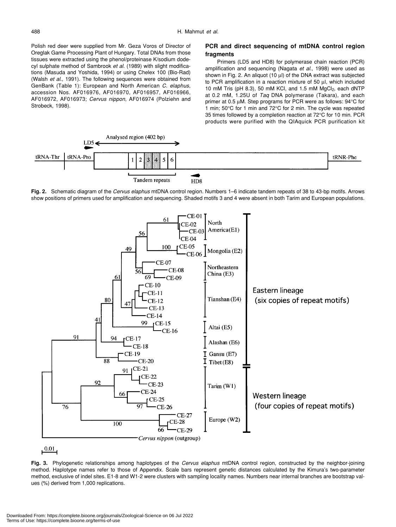Polish red deer were supplied from Mr. Geza Voros of Director of Oreglak Game Processing Plant of Hungary. Total DNAs from those tissues were extracted using the phenol/proteinase K/sodium dodecyl sulphate method of Sambrook *et al*. (1989) with slight modifications (Masuda and Yoshida, 1994) or using Chelex 100 (Bio-Rad) (Walsh *et al*., 1991). The following sequences were obtained from GenBank (Table 1): European and North American *C. elaphus*, accession Nos. AF016976, AF016970, AF016957, AF016966, AF016972, AF016973; *Cervus nippon*, AF016974 (Polziehn and Strobeck, 1998).

# **PCR and direct sequencing of mtDNA control region fragments**

Primers (LD5 and HD8) for polymerase chain reaction (PCR) amplification and sequencing (Nagata *et al*., 1998) were used as shown in Fig. 2. An aliquot (10 µl) of the DNA extract was subjected to PCR amplification in a reaction mixture of 50 µl, which included 10 mM Tris (pH 8.3), 50 mM KCl, and 1.5 mM  $MgCl<sub>2</sub>$ , each dNTP at 0.2 mM, 1.25U of *Taq* DNA polymerase (Takara), and each primer at 0.5 µM. Step programs for PCR were as follows: 94°C for 1 min; 50°C for 1 min and 72°C for 2 min. The cycle was repeated 35 times followed by a completion reaction at 72°C for 10 min. PCR products were purified with the QIAquick PCR purification kit



**Fig. 2.** Schematic diagram of the *Cervus elaphus* mtDNA control region. Numbers 1–6 indicate tandem repeats of 38 to 43-bp motifs. Arrows show positions of primers used for amplification and sequencing. Shaded motifs 3 and 4 were absent in both Tarim and European populations.



**Fig. 3.** Phylogenetic relationships among haplotypes of the *Cervus elaphus* mtDNA control region, constructed by the neighbor-joining method. Haplotype names refer to those of Appendix. Scale bars represent genetic distances calculated by the Kimura's two-parameter method, exclusive of indel sites. E1-8 and W1-2 were clusters with sampling locality names. Numbers near internal branches are bootstrap values (%) derived from 1,000 replications.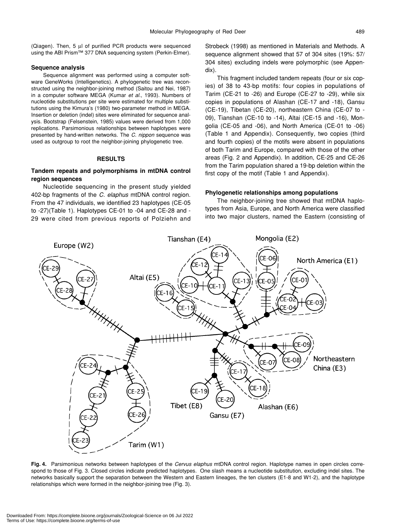(Qiagen). Then, 5 µl of purified PCR products were sequenced using the ABI Prism™ 377 DNA sequencing system (Perkin-Elmer).

#### **Sequence analysis**

Sequence alignment was performed using a computer software GeneWorks (Intelligenetics). A phylogenetic tree was reconstructed using the neighbor-joining method (Saitou and Nei, 1987) in a computer software MEGA (Kumar *et al*., 1993). Numbers of nucleotide substitutions per site were estimated for multiple substitutions using the Kimura's (1980) two-parameter method in MEGA. Insertion or deletion (indel) sites were eliminated for sequence analysis. Bootstrap (Felsenstein, 1985) values were derived from 1,000 replications. Parsimonious relationships between haplotypes were presented by hand-written networks. The *C. nippon* sequence was used as outgroup to root the neighbor-joining phylogenetic tree.

#### **RESULTS**

# **Tandem repeats and polymorphisms in mtDNA control region sequences**

Nucleotide sequencing in the present study yielded 402-bp fragments of the *C. elaphus* mtDNA control region. From the 47 individuals, we identified 23 haplotypes (CE-05 to -27)(Table 1). Haplotypes CE-01 to -04 and CE-28 and - 29 were cited from previous reports of Polziehn and Strobeck (1998) as mentioned in Materials and Methods. A sequence alignment showed that 57 of 304 sites (19%: 57/ 304 sites) excluding indels were polymorphic (see Appendix).

This fragment included tandem repeats (four or six copies) of 38 to 43-bp motifs: four copies in populations of Tarim (CE-21 to -26) and Europe (CE-27 to -29), while six copies in populations of Alashan (CE-17 and -18), Gansu (CE-19), Tibetan (CE-20), northeastern China (CE-07 to - 09), Tianshan (CE-10 to -14), Altai (CE-15 and -16), Mongolia (CE-05 and -06), and North America (CE-01 to -06) (Table 1 and Appendix). Consequently, two copies (third and fourth copies) of the motifs were absent in populations of both Tarim and Europe, compared with those of the other areas (Fig. 2 and Appendix). In addition, CE-25 and CE-26 from the Tarim population shared a 19-bp deletion within the first copy of the motif (Table 1 and Appendix).

#### **Phylogenetic relationships among populations**

The neighbor-joining tree showed that mtDNA haplotypes from Asia, Europe, and North America were classified into two major clusters, named the Eastern (consisting of



**Fig. 4.** Parsimonious networks between haplotypes of the *Cervus elaphus* mtDNA control region. Haplotype names in open circles correspond to those of Fig. 3. Closed circles indicate predicted haplotypes. One slash means a nucleotide substitution, excluding indel sites. The networks basically support the separation between the Western and Eastern lineages, the ten clusters (E1-8 and W1-2), and the haplotype relationships which were formed in the neighbor-joining tree (Fig. 3).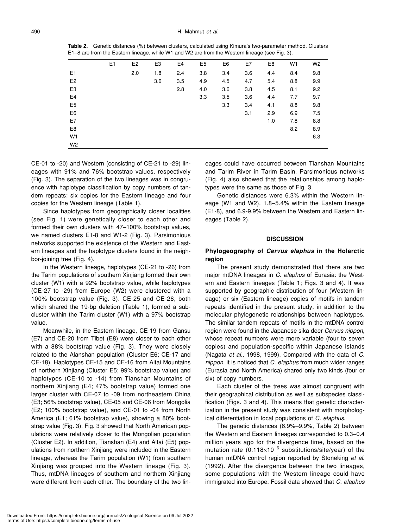**Table 2.** Genetic distances (%) between clusters, calculated using Kimura's two-parameter method. Clusters E1–8 are from the Eastern lineage, while W1 and W2 are from the Western lineage (see Fig. 3).

|                | E <sub>1</sub> | E <sub>2</sub> | E <sub>3</sub> | E <sub>4</sub> | E <sub>5</sub> | E <sub>6</sub> | E7  | E <sub>8</sub> | W <sub>1</sub> | W <sub>2</sub> |
|----------------|----------------|----------------|----------------|----------------|----------------|----------------|-----|----------------|----------------|----------------|
| E <sub>1</sub> |                | 2.0            | 1.8            | 2.4            | 3.8            | 3.4            | 3.6 | 4.4            | 8.4            | 9.8            |
| E <sub>2</sub> |                |                | 3.6            | 3.5            | 4.9            | 4.5            | 4.7 | 5.4            | 8.8            | 9.9            |
| E <sub>3</sub> |                |                |                | 2.8            | 4.0            | 3.6            | 3.8 | 4.5            | 8.1            | 9.2            |
| E <sub>4</sub> |                |                |                |                | 3.3            | 3.5            | 3.6 | 4.4            | 7.7            | 9.7            |
| E <sub>5</sub> |                |                |                |                |                | 3.3            | 3.4 | 4.1            | 8.8            | 9.8            |
| E <sub>6</sub> |                |                |                |                |                |                | 3.1 | 2.9            | 6.9            | 7.5            |
| E7             |                |                |                |                |                |                |     | 1.0            | 7.8            | 8.8            |
| E <sub>8</sub> |                |                |                |                |                |                |     |                | 8.2            | 8.9            |
| W <sub>1</sub> |                |                |                |                |                |                |     |                |                | 6.3            |
| W <sub>2</sub> |                |                |                |                |                |                |     |                |                |                |

CE-01 to -20) and Western (consisting of CE-21 to -29) lineages with 91% and 76% bootstrap values, respectively (Fig. 3). The separation of the two lineages was in congruence with haplotype classification by copy numbers of tandem repeats: six copies for the Eastern lineage and four copies for the Western lineage (Table 1).

Since haplotypes from geographically closer localities (see Fig. 1) were genetically closer to each other and formed their own clusters with 47–100% bootstrap values, we named clusters E1-8 and W1-2 (Fig. 3). Parsimonious networks supported the existence of the Western and Eastern lineages and the haplotype clusters found in the neighbor-joining tree (Fig. 4).

In the Western lineage, haplotypes (CE-21 to -26) from the Tarim populations of southern Xinjiang formed their own cluster (W1) with a 92% bootstrap value, while haplotypes (CE-27 to -29) from Europe (W2) were clustered with a 100% bootstrap value (Fig. 3). CE-25 and CE-26, both which shared the 19-bp deletion (Table 1), formed a subcluster within the Tarim cluster (W1) with a 97% bootstrap value.

Meanwhile, in the Eastern lineage, CE-19 from Gansu (E7) and CE-20 from Tibet (E8) were closer to each other with a 88% bootstrap value (Fig. 3). They were closely related to the Alanshan population (Cluster E6; CE-17 and CE-18). Haplotypes CE-15 and CE-16 from Altai Mountains of northern Xinjiang (Cluster E5; 99% bootstrap value) and haplotypes (CE-10 to -14) from Tianshan Mountains of northern Xinjiang (E4; 47% bootstrap value) formed one larger cluster with CE-07 to -09 from northeastern China (E3; 56% bootstrap value), CE-05 and CE-06 from Mongolia (E2; 100% bootstrap value), and CE-01 to -04 from North America (E1; 61% bootstrap value), showing a 80% bootstrap value (Fig. 3). Fig. 3 showed that North American populations were relatively closer to the Mongolian population (Cluster E2). In addition, Tianshan (E4) and Altai (E5) populations from northern Xinjiang were included in the Eastern lineage, whereas the Tarim population (W1) from southern Xinjiang was grouped into the Western lineage (Fig. 3). Thus, mtDNA lineages of southern and northern Xinjiang were different from each other. The boundary of the two lineages could have occurred between Tianshan Mountains and Tarim River in Tarim Basin. Parsimonious networks (Fig. 4) also showed that the relationships among haplotypes were the same as those of Fig. 3.

Genetic distances were 6.3% within the Western lineage (W1 and W2), 1.8–5.4% within the Eastern lineage (E1-8), and 6.9-9.9% between the Western and Eastern lineages (Table 2).

#### **DISCUSSION**

# **Phylogeography of** *Cervus elaphus* **in the Holarctic region**

The present study demonstrated that there are two major mtDNA lineages in *C. elaphus* of Eurasia: the Western and Eastern lineages (Table 1; Figs. 3 and 4). It was supported by geographic distribution of four (Western lineage) or six (Eastern lineage) copies of motifs in tandem repeats identified in the present study, in addition to the molecular phylogenetic relationships between haplotypes. The similar tandem repeats of motifs in the mtDNA control region were found in the Japanese sika deer *Cervus nippon*, whose repeat numbers were more variable (four to seven copies) and population-specific within Japanese islands (Nagata *et al*., 1998, 1999). Compared with the data of *C. nippon*, it is noticed that *C. elaphus* from much wider ranges (Eurasia and North America) shared only two kinds (four or six) of copy numbers.

Each cluster of the trees was almost congruent with their geographical distribution as well as subspecies classification (Figs. 3 and 4). This means that genetic characterization in the present study was consistent with morphological differentiation in local populations of *C. elaphus*.

The genetic distances (6.9%–9.9%, Table 2) between the Western and Eastern lineages corresponded to 0.3–0.4 million years ago for the divergence time, based on the mutation rate  $(0.118\times10^{-6}$  substitutions/site/year) of the human mtDNA control region reported by Stoneking *et al*. (1992). After the divergence between the two lineages, some populations with the Western lineage could have immigrated into Europe. Fossil data showed that *C. elaphus*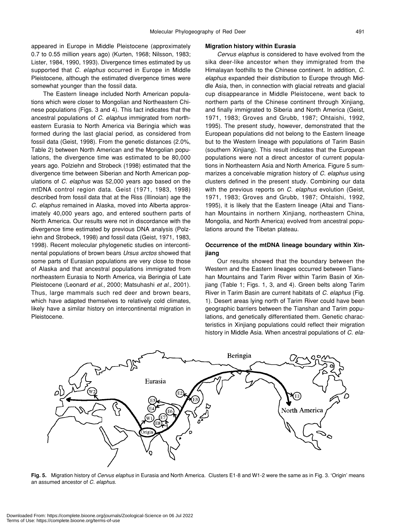appeared in Europe in Middle Pleistocene (approximately 0.7 to 0.55 million years ago) (Kurten, 1968; Nilsson, 1983; Lister, 1984, 1990, 1993). Divergence times estimated by us supported that *C. elaphus* occurred in Europe in Middle Pleistocene, although the estimated divergence times were somewhat younger than the fossil data.

The Eastern lineage included North American populations which were closer to Mongolian and Northeastern Chinese populations (Figs. 3 and 4). This fact indicates that the ancestral populations of *C. elaphus* immigrated from northeastern Eurasia to North America via Beringia which was formed during the last glacial period, as considered from fossil data (Geist, 1998). From the genetic distances (2.0%, Table 2) between North American and the Mongolian populations, the divergence time was estimated to be 80,000 years ago. Polziehn and Strobeck (1998) estimated that the divergence time between Siberian and North American populations of *C. elaphus* was 52,000 years ago based on the mtDNA control region data. Geist (1971, 1983, 1998) described from fossil data that at the Riss (Illinoian) age the *C. elaphus* remained in Alaska, moved into Alberta approximately 40,000 years ago, and entered southern parts of North America. Our results were not in discordance with the divergence time estimated by previous DNA analysis (Polziehn and Strobeck, 1998) and fossil data (Geist, 1971, 1983, 1998). Recent molecular phylogenetic studies on intercontinental populations of brown bears *Ursus arctos* showed that some parts of Eurasian populations are very close to those of Alaska and that ancestral populations immigrated from northeastern Eurasia to North America, via Beringia of Late Pleistocene (Leonard *et al*., 2000; Matsuhashi *et al*., 2001). Thus, large mammals such red deer and brown bears, which have adapted themselves to relatively cold climates, likely have a similar history on intercontinental migration in Pleistocene.

#### **Migration history within Eurasia**

*Cervus elaphus* is considered to have evolved from the sika deer-like ancestor when they immigrated from the Himalayan foothills to the Chinese continent. In addition, *C. elaphus* expanded their distribution to Europe through Middle Asia, then, in connection with glacial retreats and glacial cup disappearance in Middle Pleistocene, went back to northern parts of the Chinese continent through Xinjiang, and finally immigrated to Siberia and North America (Geist, 1971, 1983; Groves and Grubb, 1987; Ohtaishi, 1992, 1995). The present study, however, demonstrated that the European populations did not belong to the Eastern lineage but to the Western lineage with populations of Tarim Basin (southern Xinjiang). This result indicates that the European populations were not a direct ancestor of current populations in Northeastern Asia and North America. Figure 5 summarizes a conceivable migration history of *C. elaphus* using clusters defined in the present study. Combining our data with the previous reports on *C. elaphus* evolution (Geist, 1971, 1983; Groves and Grubb, 1987; Ohtaishi, 1992, 1995), it is likely that the Eastern lineage (Altai and Tianshan Mountains in northern Xinjiang, northeastern China, Mongolia, and North America) evolved from ancestral populations around the Tibetan plateau.

# **Occurrence of the mtDNA lineage boundary within Xinjiang**

Our results showed that the boundary between the Western and the Eastern lineages occurred between Tianshan Mountains and Tarim River within Tarim Basin of Xinjiang (Table 1; Figs. 1, 3, and 4). Green belts along Tarim River in Tarim Basin are current habitats of *C. elaphus* (Fig. 1). Desert areas lying north of Tarim River could have been geographic barriers between the Tianshan and Tarim populations, and genetically differentiated them. Genetic characteristics in Xinjiang populations could reflect their migration history in Middle Asia. When ancestral populations of *C. ela-*



**Fig. 5.** Migration history of *Cervus elaphus* in Eurasia and North America. Clusters E1-8 and W1-2 were the same as in Fig. 3. 'Origin' means an assumed ancestor of *C. elaphus*.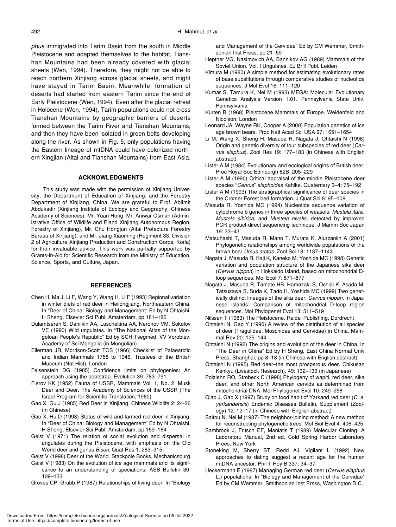*phus* immigrated into Tarim Basin from the south in Middle Pleistocene and adapted themselves to the habitat, Tianshan Mountains had been already covered with glacial sheets (Wen, 1994). Therefore, they might not be able to reach northern Xinjiang across glacial sheets, and might have stayed in Tarim Basin. Meanwhile, formation of deserts had started from eastern Tarim since the end of Early Pleistocene (Wen, 1994). Even after the glacial retreat in Holocene (Wen, 1994), Tarim populations could not cross Tianshan Mountains by geographic barriers of deserts formed between the Tarim River and Tianshan Mountains, and then they have been isolated in green belts developing along the river. As shown in Fig. 5, only populations having the Eastern lineage of mtDNA could have colonized northern Xingjian (Altai and Tianshan Mountains) from East Asia.

#### **ACKNOWLEDGMENTS**

This study was made with the permission of Xinjiang University, the Department of Education of Xinjiang, and the Forestry Department of Xinjiang, China. We are grateful to Prof. Ablimit Abdukadir (Xinjiang Institute of Ecology and Geography, Chinese Academy of Sciences), Mr. Yuan Hong, Mr. Aniwar Osman (Administrative Office of Wildlife and Pland Xinjiang Autonomous Region, Forestry of Xinjiang), Mr. Chu Hongjun (Altai Prefecture Forestry Bureau of Xinjiang), and Mr. Jiang Xiaoming (Regiment 33, Division 2 of Agriculture Xinjiang Production and Construction Corps, Korla) for their invaluable advice. This work was partially supported by Grants-in-Aid for Scientific Research from the Ministry of Education, Science, Sports, and Culture, Japan.

## **REFERENCES**

- Chen H, Ma J, Li F, Wang Y, Wang H, Li F (1993) Regional variation in winter diets of red deer in Heilongjiang, Northeastern China. In "Deer of China: Biology and Management" Ed by N Ohtaishi, H Sheng, Elsevier Sci Publ, Amsterdam, pp 181–186
- Dulamtseren S, Danilkin AA, Luschekina AA, Neronov VM, Sokolov VE (1990) Wild ungulates. In "The National Atlas of the Mongoloan People's Republic" Ed by SCH Tsegmed, VV Vorobiev, Academy of Sci Mongolia (in Mongolian)
- Ellerman JR, Morrison-Scott TCS (1966) Checklist of Palaearctic and Indian Mammals 1758 to 1946. Trustees of the British Museum (Nat Hist), London
- Felsenstein DG (1985) Confidence limits on phylogenies: An approach using the bootstrap. Evolution 39: 783–791
- Flerov KK (1952) Fauna of USSR, Mammals Vol. 1, No. 2: Musk Deer and Deer. The Academy of Sciences of the USSR (The Israel Program for Scientific Translation, 1960)
- Gao X, Gu J (1985) Red Deer in Xinjiang. Chinese Wildlife 2: 24-26 (in Chinese)
- Gao X, Hu D (1993) Status of wild and farmed red deer in Xinjiang. In "Deer of China: Biology and Management" Ed by N Ohtaishi, H Sheng, Elsevier Sci Publ, Amsterdam, pp 159–164
- Geist V (1971) The relation of social evolution and dispersal in ungulates during the Pleistocene, with emphasis on the Old World deer and genus *Bison*. Quat Res 1: 283–315
- Geist V (1998) Deer of the World. Stackpole Books, Mechanicsburg
- Geist V (1983) On the evolution of ice age mammals and its signifcance to an understanding of speciations. ASB Bulletin 30: 109–133
- Groves CP, Grubb P (1987) Relationships of living deer. In "Biology

and Management of the Cervidae" Ed by CM Wemmer, Smithsonian Inst Press, pp 21–59

- Heptner VG, Nasimovich AA, Bannikov AG (1989) Mammals of the Soviet Union. Vol. I Ungulates. EJ Brill Publ, Leiden
- Kimura M (1980) A simple method for estimating evolutionary rates of base substitutions through comparative studies of nucleotide sequences. J Mol Evol 16: 111–120
- Kumar S, Tamura K, Nei M (1993) MEGA: Molecular Evolutionary Genetics Analysis Version 1.01. Pennsylvania State Univ, Pennsylvania
- Kurten B (1968) Pleistocene Mammals of Europe. Weidenfeld and Nicolson, London
- Leonard JA, Wayne RK, Cooper A (2000) Population genetics of ice age brown bears. Proc Natl Acad Sci USA 97: 1651–1654
- Li M, Wang X, Sheng H, Masuda R, Nagata J, Ohtaishi N (1998) Origin and genetic diversity of four subspecies of red deer (*Cervus elaphus*). Zool Res 19: 177–183 (in Chinese with English abstract)
- Lister A M (1984) Evolutionary and ecological origins of British deer. Proc Royal Soc Edinburgh 82B: 205–229
- Lister A M (1990) Critical appraisal of the middle Pleistocene deer species "*Cervus*" *elaphoides* Kahlke. Quaternary 3–4: 75–192
- Lister A M (1993) The stratigraphical significance of deer species in the Cromer Forest bed formation. J Quat Sci 8: 95–108
- Masuda R, Yoshida MC (1994) Nucleotide sequence variation of cytochrome b genes in three species of weasels, *Mustela itatsi*, *Mustela sibirica*, and *Mustela nivalis*, detected by improved PCR product-direct sequencing technique. J Mamm Soc Japan 19: 33–43
- Matsuhashi T, Masuda R, Mano T, Murata K, Aiurzaniin A (2001) Phylogenetic relationships among worldwide populations of the brown bear *Ursus arctos*. Zool Sci 18: 1137–1143
- Nagata J, Masuda R, Kaji K, Kaneko M, Yoshida MC (1998) Genetic variation and population structure of the Japanese sika deer (*Cervus nippon*) in Hokkaido Island, based on mitochondrial Dloop sequences. Mol Ecol 7: 871–877
- Nagata J, Masuda R, Tamate HB, Hamazaki S, Ochiai K, Asada M, Tatsuzawa S, Suda K, Tado H, Yoshida MC (1999) Two genetically distinct lineages of the sika deer, *Cervus nippon*, in Japanese islands: Comparison of mitochondrial D-loop region sequences. Mol Phylogenet Evol 13: 511–519
- Nilssen T (1983) The Pleistocene. Reidel Publishing, Dordrecht
- Ohtaishi N, Gao Y (1990) A review of the distribution of all species of deer (Tragulidae, Moschidae and Cervidae) in China. Mammal Rev 20: 125–144
- Ohtaishi N (1992) The origins and evolution of the deer in China. In "The Deer in China" Ed by H Sheng, East China Normal Univ Press, Shanghai, pp 8–18 (in Chinese with English abstract)
- Ohtaishi N (1995) Red deer–the most prosperous deer. Chikusan Kenkyu (Livestock Research), 49: 132–139 (in Japanese)
- Polziehn RO, Strobeck C (1998) Phylogeny of wapiti, red deer, sika deer, and other North American cervids as determined from mitochondrial DNA. Mol Phylogenet Evol 10: 249–258
- Qiao J, Gao X (1997) Study on food habit of Yarkand red deer (*C. e. yarkandensis*) Endemic Diseases Bulletin, Supplement (Zoology) 12: 12–17 (in Chinese with English abstract)
- Saitou N, Nei M (1987) The neighbor-joining method: A new method for reconstructing phylogenetic trees. Mol Biol Evol 4: 406–425
- Sambrook J, Fritsch EF, Maniatis T (1989) Molecular Cloning: A Laboratoru Manual, 2nd ed. Cold Spring Harbor Laboratory Prees, New York
- Stoneking M, Sherry ST, Redd AJ, Vigilant L (1992) New approaches to dating suggest a recent age for the human mtDNA ancestor. Phil T Roy B 337: 34–37
- Ueckermann E (1987) Managing German red deer (*Cervus elaphus* L.) populations. In "Biology and Management of the Cervidae" Ed by CM Wemmer, Smithsonian Inst Press, Washington D.C.,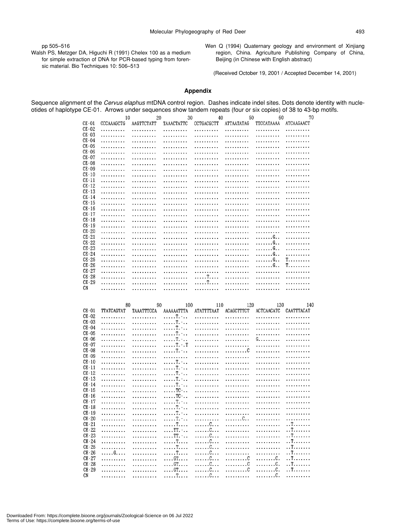pp 505–516

Walsh PS, Metzger DA, Higuchi R (1991) Chelex 100 as a medium for simple extraction of DNA for PCR-based typing from forensic material. Bio Techniques 10: 506–513

Wen Q (1994) Quaternary geology and environment of Xinjiang region, China. Agriculture Publishing Company of China, Beijing (in Chinese with English abstract)

(Received October 19, 2001 / Accepted December 14, 2001)

# **Appendix**

Sequence alignment of the *Cervus elaphus* mtDNA control region. Dashes indicate indel sites. Dots denote identity with nucleotides of haplotype CE-01. Arrows under sequences show tandem repeats (four or six copies) of 38 to 43-bp motifs.

|                      | 10         | 20         | 30                       | 40            | 50         | 60                | 70             |
|----------------------|------------|------------|--------------------------|---------------|------------|-------------------|----------------|
| CE-01                | CCCAAAGCTG | AAGTTCTATT | TAAACTATTC               | CCTGACGCTT    | ATTAATATAG | TTCCATAAAA        | ATCAAGAACT     |
| $CE-02$              | .          | .          | .                        | .             |            | .                 | .              |
| $CE-03$              | .          | .          | .                        | .             | .          | .                 | .              |
| $CE - 04$            | .          | .          | .                        | .             | .          | .                 | .              |
| $CE - 05$            | .          | .          | .                        | .             | .          | .                 | .              |
| $CE - 06$            | .          | .          | .                        | .             | .          | .                 | .              |
| CE-07                | .          | .          | .                        | .             | .          | .                 | .              |
| $CE - 08$            | .          | .          | .                        | .             | .          | .                 | .              |
| $CE - 09$            | .          | .          | .                        | .             | .          | .                 | .              |
| $CE - 10$<br>$CE-11$ | .          | .          | .                        | .             | .          | .                 | .              |
| $CE-12$              | .          | .          | .                        | .             | .          | .                 | .              |
| $CE-13$              | .<br>.     | .<br>.     | .                        | .             | .          | .<br>.            | .<br>.         |
| $CE-14$              | .          | .          | .<br>.                   | .<br>.        | .<br>.     | .                 | .              |
| $CE-15$              | .          | .          | .                        | .             | .          | .                 | .              |
| CE-16                | .          | .          | .                        | .             | .          | .                 | .              |
| $CE-17$              | .          | .          | .                        | .             | .          | .                 | .              |
| $CE-18$              | .          | .          | .                        | .             | .          | .                 | .              |
| $CE-19$              | .          | .          | .                        | .             | .          | .                 | .              |
| $CE - 20$            | .          | .          | .                        | .             | .          | .                 | .              |
| $CE - 21$            | .          | .          | .                        | .             | .          | . G. .            | .              |
| $CE - 22$            | .          | .          | .                        | .             | .          | . G. .            | .              |
| $CE-23$              | .          | .          | .                        | .             | .          | . <i>.</i> G. .   | .              |
| $CE-24$              | .          | .          | .                        | .             | .          | . G. .            | .              |
| $CE-25$              | .          | .          | .                        | .             | .          | . G. .            | T.             |
| $CE - 26$            | .          | .          | .                        | .             | .          | . G. .            | T.             |
| $CE-27$              | .          | .          | .                        | .             | .          | .                 | .              |
| $CE-28$              | .          | .          | .                        | . T.          | .          | .                 | .              |
| $CE-29$              | .          | .          | .                        | . T.          | .          | .                 | .              |
| CN                   | .          | .          | .                        | .             | .          | .                 | .              |
|                      |            |            |                          |               |            |                   |                |
|                      |            |            |                          |               |            |                   |                |
|                      | 80         | 90         | 100                      | 110           | 120        | 130               | 140            |
| CE-01<br>$CE - 02$   | TTATCAGTAT | TAAATTTCCA | AAAAAATTTA               | ATATTTTAAT    | ACAGCTTTCT | <b>ACTCAACATC</b> | CAATTTACAT     |
| $CE-03$              | .          | .          | . T. -                   | .             | .          | .                 | .              |
| CE-04                | .          | .          | . T <b>.</b> -           | .             | .          | .                 | .              |
| $CE - 05$            | .          | .          | . . <i>.</i> T. -        | .             | .          | .                 | .              |
| CE-06                | .          | .          | . T. -<br>. T <b>.</b> - | .             | .          | .                 | .              |
| CE-07                | .<br>.     | .<br>.     | . T. - . T               | .<br>.        | .<br>.     | G.<br>.           | .<br>.         |
| $CE-08$              | .          | .          | . T. -                   | .             | . 0        | .                 | .              |
| $CE-09$              | .          | .          | .                        | .             | .          | .                 | .              |
| $CE - 10$            | .          | .          | . T. <sup>.</sup>        | .             | .          | .                 | .              |
| $CL-11$              | .          | .          | . T. -                   | .             | .          | .                 | .              |
| $CE - 12$            | .          | .          | . T. -                   | .             | .          | .                 | .              |
| $CE-13$              | .          | .          | . T <b>.</b> -           | .             | .          | .                 | .              |
| $CE-14$              | .          | .          | . T. <sup>.</sup>        | .             | .          | .                 | .              |
| $CE-15$              | .          | .          | . TC -                   | .             | .          | .                 | .              |
| $CE-16$              | .          | .          | $\ldots$ . TC $\cdot$    | .             | .          | .                 | .              |
| $CE-17$              | .          | .          | . T <b>.</b> -           | .             | .          | .                 | .              |
| $CE-18$              | .          | .          | . T. -                   | .             | .          | .                 | .              |
| $CE-19$              | .          | .          | . T <b>.</b> -           | .             | .          | .                 | .              |
| $CE - 20$            | .          | .          | . T <b>.</b> -           | .             | .          | .                 | .              |
| $CE-21$              | .          | .          | . T.                     | . <i>.</i> C. | .          | .                 | . . T.         |
| $CE-22$              | .          | .          | $\ldots$ TT. $\ldots$    | . C.          | .          | .                 | . . T <i>.</i> |
| 0.500                |            |            | mn                       |               |            |                   | ਾ ਸਾ           |

 $\ldots \ldots \ldots$ .  $\ldots$ .  $\ldots \ldots$ .

 $CE-25$  $CE-26$  $CE - 27$ 

 $CE - 28$  $CE-29$ 

 $CN$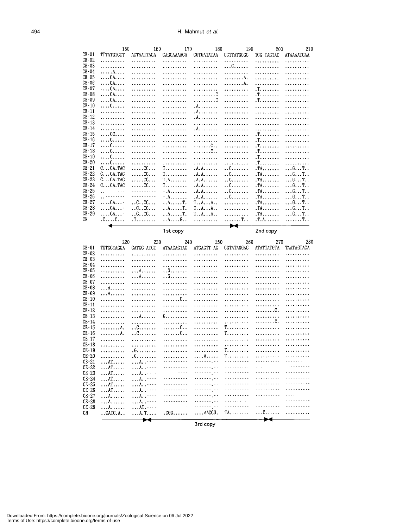|                      | 150                                                      | 160                            | 170                                                      | 180                                                   | 190                                             | 200                    | 210                                                                |
|----------------------|----------------------------------------------------------|--------------------------------|----------------------------------------------------------|-------------------------------------------------------|-------------------------------------------------|------------------------|--------------------------------------------------------------------|
| $CE - 01$            | TTTATGTCCT                                               | <b>ACTAATTACA</b>              | CAGCAAAACA                                               | CGTGATATAA                                            | CCTTATGCGC                                      | TCG-TAGTAC             | <b>ATAAAATCAA</b>                                                  |
| $CE - 02$            | .                                                        | .                              | .                                                        | .                                                     | .                                               | .                      | .                                                                  |
| $CE-03$              | .                                                        | .                              | .                                                        | .                                                     | . C.                                            | .                      | .                                                                  |
| $CE - 04$            | . A.                                                     | . . <i>.</i>                   | . <i>.</i>                                               | .                                                     | .                                               | .                      | .                                                                  |
| $CE - 05$            | $\ldots$ CA. $\ldots$                                    | .                              | .                                                        | .                                                     | . A.                                            | .                      | .                                                                  |
| $CE - 06$            | $\ldots$ CA. $\ldots$                                    | .                              | .                                                        | .                                                     | . A.                                            | .                      | .                                                                  |
| $CE - 07$            | $\ldots$ CA. $\ldots$                                    | .                              | .                                                        | .                                                     | .                                               |                        | .                                                                  |
| $CE-08$              | $\ldots$ CA. $\ldots$                                    | .                              | .                                                        | . 0                                                   | .                                               | $T_{1}, \ldots, T_{n}$ | .                                                                  |
| $CE-09$              | $\ldots$ CA. $\ldots$                                    | .                              | .                                                        | . 0                                                   | .                                               | . T.                   | .                                                                  |
| $CE-10$              | . 0.                                                     | .                              | .                                                        | . A. <i>.</i>                                         | .                                               | .                      | .                                                                  |
| $CE-11$              | .                                                        | .                              | .                                                        | . A. <i>. .</i>                                       | .                                               | .                      | .                                                                  |
| $CL-12$              | .                                                        | .                              | .                                                        | A                                                     | .                                               | .                      | .                                                                  |
| $CE-13$              | .                                                        | .                              | .                                                        | .                                                     | .                                               | .                      | .                                                                  |
| $CE-14$              | .                                                        | .                              | .                                                        | A                                                     | .                                               | .                      | .                                                                  |
| $CE-15$              | $\ldots$ CC. $\ldots$                                    | .                              | .                                                        | .                                                     | .                                               | $T_{1}, \ldots, T_{n}$ | .                                                                  |
| $CE-16$              | . C.                                                     | .                              | .                                                        | .                                                     | .                                               | $T_{1}, \ldots, T_{n}$ | .                                                                  |
| $CE-17$              | . C. <i>.</i>                                            | .                              | .                                                        | . C. .                                                | .                                               | $T_{1}, \ldots, T_{n}$ | .                                                                  |
| $CE-18$              | . 0.                                                     | .                              | .                                                        | . 0. .                                                | .                                               | $T_{1}, \ldots, T_{n}$ | .                                                                  |
| $CE-19$<br>$CE - 20$ | . C.                                                     | .                              | .                                                        | .                                                     | .                                               | $T_{1}, \ldots, T_{n}$ | .                                                                  |
|                      | . C.                                                     | .                              | .                                                        | .                                                     | .                                               | . T.                   | .                                                                  |
| $CE-21$<br>$CE-22$   | C. CA. TAC                                               | . CC.                          | $T_{\cdot\cdot\cdot\cdot\cdot\cdot\cdot\cdot\cdot\cdot}$ | $A, A, \ldots$                                        | .                                               | . TA.                  | $\ldots$ G $\ldots$ T $\ldots$                                     |
| $CE-23$              | $C_{\cdot}$ $CA$ . TAC<br>C. CA. TAC                     | . CC<br>. CC.                  | $T$<br>$T.A.$                                            | $A.A. \ldots$                                         | .                                               | .TA                    | $\ldots$ G. $\ldots$ T. .                                          |
| $CE - 24$            | C. CA. TAC                                               | . CC                           |                                                          | $A.A. \ldots$                                         | $\dots$ $0$ . $\dots$ $\dots$ $\dots$<br>. . 0. | $.TA. \ldots$ .        | 6T.                                                                |
| $CE - 25$            | لانتخاب والمنافرين                                       | 1.1.1.1.1.1                    | $T_{\cdot\cdot\cdot\cdot\cdot\cdot\cdot\cdot\cdot\cdot}$ | $A.A. \ldots$<br>$A.A.$                               |                                                 | $.TA$<br>$.TA. \ldots$ | $\ldots$ G. $\ldots$ T. $\ldots$<br>$\ldots$ G $\ldots$ T $\ldots$ |
| $CE - 26$            | للمتمنعين                                                | .                              | $-. A.$<br>$\cdot$ . A.                                  | $.A.A.$                                               | $\dots$ C.<br>.                                 | $.TA. \ldots$          | $\ldots$ G. $\ldots$ T. .                                          |
| $CE-27$              | $\ldots$ CA. $\ldots$                                    | $\ldots$ C $\ldots$ C $\ldots$ | . . A. T.                                                | $T_{\cdot\cdot}A_{\cdot\cdot}A_{\cdot\cdot}A_{\cdot}$ |                                                 | $.TA. \ldots$          | $\ldots$ G. $\ldots$ T. .                                          |
| $CE-28$              | $\ldots$ CA. $\ldots$                                    | $\ldots$ C. $\ldots$ CC.       | . . A. T.                                                | $T_{\cdot\cdot}A_{\cdot\cdot}A_{\cdot}$ .             | .<br>.                                          | $T_A$                  | $\ldots$ G $\ldots$ T $\ldots$                                     |
| $CE-29$              | $\ldots$ CA. -                                           | $\dots$ C $\dots$ CC $\dots$   | $$ A. T.                                                 | T.AA                                                  | .                                               | $.TA. \ldots$ .        | 6 T                                                                |
| CN                   | $C_{\cdot \cdot \cdot \cdot}C_{\cdot \cdot \cdot \cdot}$ | $T_{1}, \ldots$                | $\ldots$ A. $\ldots$ G. .                                | .                                                     | . T. .                                          | $T.A$                  | . T. .                                                             |
|                      |                                                          |                                |                                                          |                                                       | <b>Contract Contract Contract</b>               |                        |                                                                    |

1st copy

2nd copy

|                    | 220                  | 230                      | 240               | 250                       | 260                    | 270               | 280        |
|--------------------|----------------------|--------------------------|-------------------|---------------------------|------------------------|-------------------|------------|
| $CE-01$            | TGTGCTAGGA           | CATGC-ATGT               | <b>ATAACAGTAC</b> | ATGAGTT AG                | CGTATAGGAC             | <b>ATATTATGTA</b> | TAATAGTACA |
| $CE-02$            | .                    | .                        | .                 | .                         | .                      | .                 | .          |
| $CE - 0.3$         | .                    | .                        | .                 | .                         | .                      | .                 | .          |
| $CE - 04$          | .                    | .                        | .                 | .                         | .                      | .                 | .          |
| $CE - 05$          | .                    | . A.                     | .                 | .                         | .                      | .                 | .          |
| $CE - 06$          | .                    | . A.                     | . . G.            | .                         | .                      | .                 | .          |
| $CE - 07$          | .                    | .                        | .                 | .                         | .                      | .                 | .          |
| $CE-08$            | . A.                 | .                        | .                 | <u>.</u>                  | .                      | .                 | .          |
| $CE-09$            | . A.                 | .                        | .                 | .                         | .                      | .                 | .          |
| $CE-10$<br>$CE-11$ | .                    | .                        | . 0. .            | .                         | .                      | .                 | .          |
|                    | .                    | .                        | .                 | .                         | .                      | .<br>. C.         | .<br>.     |
| $CE-12$<br>$CE-13$ | .                    | .                        | .<br>$G.$         | .                         | .                      | .                 | .          |
| $CE-14$            | .                    | . A.                     |                   | .<br>.                    | .<br>.                 | . C.              | .          |
| $CE-15$            | .<br>. A.            | .<br>.                   | .<br>. 0. .       | .                         | $T_{1}, \ldots, T_{n}$ | .                 | .          |
| $CE-16$            | . <i>.</i> . A.      | . . 0.                   | . C. .            | .                         | $T_{1}, \ldots, T_{n}$ | .                 | .          |
| $CE-17$            | .                    | .                        | .                 | .                         | .                      | .                 | .          |
| $CE-18$            | .                    | .                        | .                 | .                         | .                      | .                 | .          |
| $CE-19$            | .                    | . G.                     | .                 | .                         | $T$                    | .                 | .          |
| $CE-20$            | .                    | . G.                     | .                 | . A.                      | $T_{i}$                | .                 | .          |
| $CE-21$            | $\ldots$ AT $\ldots$ | A                        | <u>.</u>          | لابار بالمحافظة           | .                      | .                 | .          |
| $CE - 22$          | $\ldots$ AT $\ldots$ | A                        | .                 | لالارتكاء والالالا        | .                      | .                 | .          |
| $CE - 23$          | . AT.                | $\ldots$ A.              | .                 | .                         | .                      | <u>.</u>          | .          |
| $CE - 24$          | AT <i></i> .         | A                        | .                 | . <sub>.</sub>            | .                      | .                 | .          |
| $CE-25$            | AT                   | A                        | .                 | . <sub>.</sub>            | <u>.</u>               | .                 | .          |
| $CE - 26$          | $\ldots$ AT $\ldots$ | A                        | .                 | ililili, I                | .                      | .                 | .          |
| $CE-27$            | . A. <i>.</i>        | A                        | .                 | ililili, k                | .                      | <u>.</u>          | .          |
| $CE - 28$          | . A. <i>.</i>        | A----                    | .                 | 1111111 <sub>1</sub> 11   | .                      | <u>.</u>          | .          |
| $CE - 29$          | . A.                 | $\ldots$ AT $\ldots$     | .                 | . <i>.</i> . <sub>.</sub> | .                      | .                 | .          |
| CN                 | $.CATC.A.$ .         | . A. T.                  | $.CGG$            | $\ldots$ $AACCG$ .        | $TA$                   | $\dots$ C.        | .          |
|                    |                      | $\overline{\phantom{a}}$ |                   |                           |                        | $\rightarrow$     |            |

3rd copy